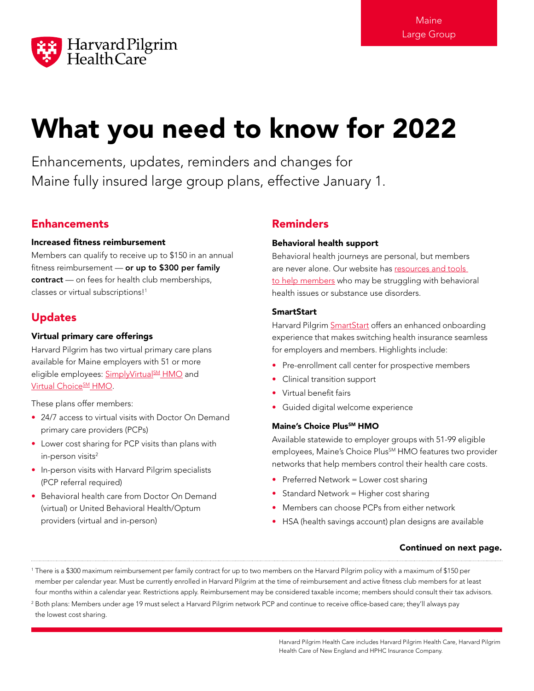

# What you need to know for 2022

Enhancements, updates, reminders and changes for Maine fully insured large group plans, effective January 1.

# **Enhancements**

## Increased fitness reimbursement

Members can qualify to receive up to \$150 in an annual fitness reimbursement  $-$  or up to \$300 per family contract — on fees for health club memberships, classes or virtual subscriptions!<sup>1</sup>

# Updates

# Virtual primary care offerings

Harvard Pilgrim has two virtual primary care plans available for Maine employers with 51 or more eligible employees: SimplyVirtual<sup>SM</sup> HMO and Virtual Choice<sup>SM</sup> HMO.

These plans offer members:

- 24/7 access to virtual visits with Doctor On Demand primary care providers (PCPs)
- Lower cost sharing for PCP visits than plans with in-person visits<sup>2</sup>
- In-person visits with Harvard Pilgrim specialists (PCP referral required)
- Behavioral health care from Doctor On Demand (virtual) or United Behavioral Health/Optum providers (virtual and in-person)

# Reminders

# Behavioral health support

Behavioral health journeys are personal, but members are never alone. Our website has resources and tools [to help members](http://www.harvardpilgrim.org/public/behavioral-health-care) who may be struggling with behavioral health issues or substance use disorders.

# **SmartStart**

Harvard Pilgrim [SmartStart](http://www.harvardpilgrim.org/employer/smartstart/) offers an enhanced onboarding experience that makes switching health insurance seamless for employers and members. Highlights include:

- Pre-enrollment call center for prospective members
- Clinical transition support
- Virtual benefit fairs
- Guided digital welcome experience

## Maine's Choice Plus<sup>5M</sup> HMO

Available statewide to employer groups with 51-99 eligible employees, Maine's Choice Plus<sup>SM</sup> HMO features two provider networks that help members control their health care costs.

- Preferred Network = Lower cost sharing
- Standard Network = Higher cost sharing
- Members can choose PCPs from either network
- HSA (health savings account) plan designs are available

# Continued on next page.

<sup>1</sup> There is a \$300 maximum reimbursement per family contract for up to two members on the Harvard Pilgrim policy with a maximum of \$150 per member per calendar year. Must be currently enrolled in Harvard Pilgrim at the time of reimbursement and active fitness club members for at least four months within a calendar year. Restrictions apply. Reimbursement may be considered taxable income; members should consult their tax advisors.

<sup>2</sup> Both plans: Members under age 19 must select a Harvard Pilgrim network PCP and continue to receive office-based care; they'll always pay the lowest cost sharing.